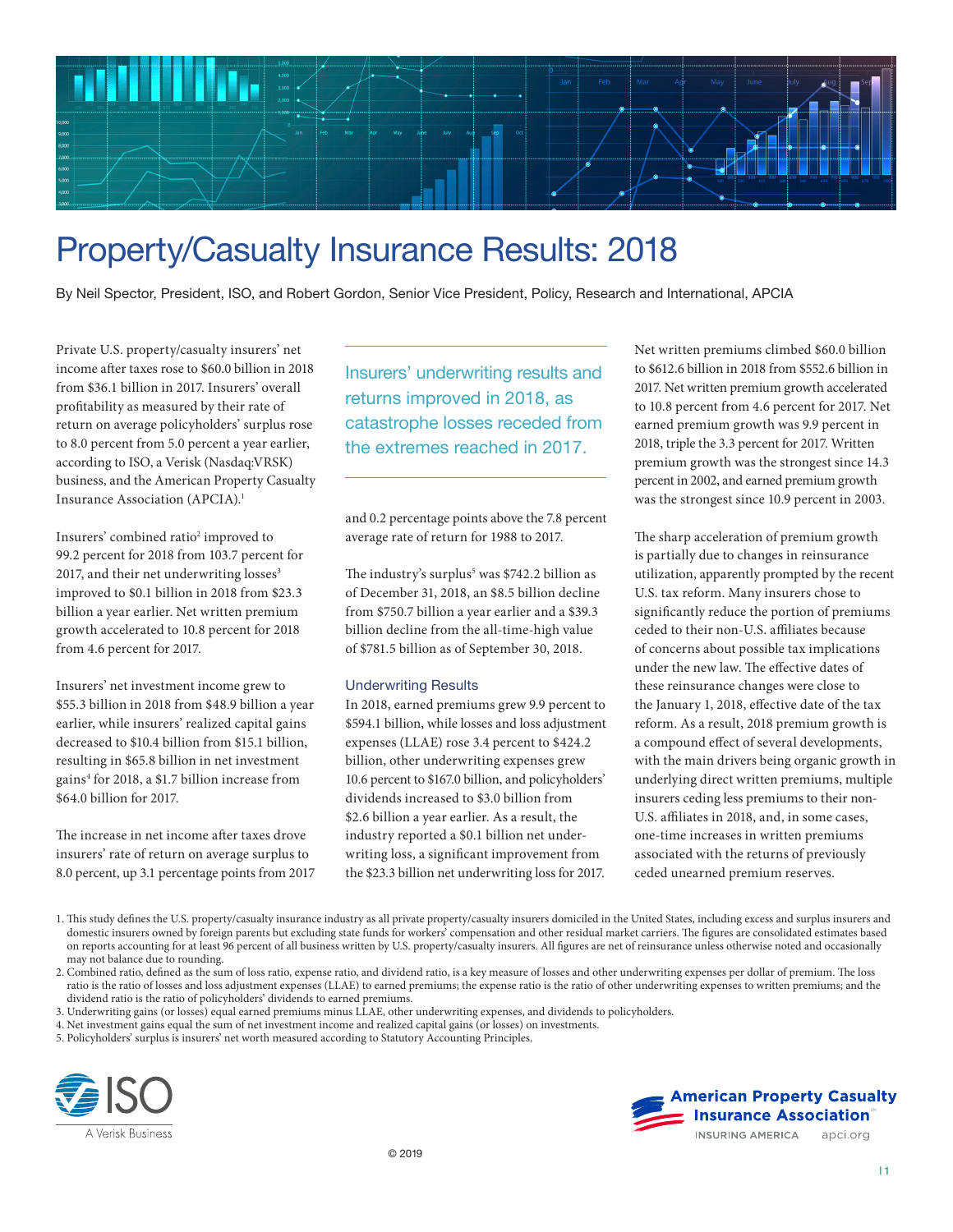

# Property/Casualty Insurance Results: 2018

By Neil Spector, President, ISO, and Robert Gordon, Senior Vice President, Policy, Research and International, APCIA

Private U.S. property/casualty insurers' net income after taxes rose to \$60.0 billion in 2018 from \$36.1 billion in 2017. Insurers' overall profitability as measured by their rate of return on average policyholders' surplus rose to 8.0 percent from 5.0 percent a year earlier, according to ISO, a Verisk (Nasdaq:VRSK) business, and the American Property Casualty Insurance Association (APCIA).1

Insurers' combined ratio<sup>2</sup> improved to 99.2 percent for 2018 from 103.7 percent for 2017, and their net underwriting losses<sup>3</sup> improved to \$0.1 billion in 2018 from \$23.3 billion a year earlier. Net written premium growth accelerated to 10.8 percent for 2018 from 4.6 percent for 2017.

Insurers' net investment income grew to \$55.3 billion in 2018 from \$48.9 billion a year earlier, while insurers' realized capital gains decreased to \$10.4 billion from \$15.1 billion, resulting in \$65.8 billion in net investment gains4 for 2018, a \$1.7 billion increase from \$64.0 billion for 2017.

The increase in net income after taxes drove insurers' rate of return on average surplus to 8.0 percent, up 3.1 percentage points from 2017 Insurers' underwriting results and returns improved in 2018, as catastrophe losses receded from the extremes reached in 2017.

and 0.2 percentage points above the 7.8 percent average rate of return for 1988 to 2017.

The industry's surplus<sup>5</sup> was \$742.2 billion as of December 31, 2018, an \$8.5 billion decline from \$750.7 billion a year earlier and a \$39.3 billion decline from the all-time-high value of \$781.5 billion as of September 30, 2018.

#### Underwriting Results

In 2018, earned premiums grew 9.9 percent to \$594.1 billion, while losses and loss adjustment expenses (LLAE) rose 3.4 percent to \$424.2 billion, other underwriting expenses grew 10.6 percent to \$167.0 billion, and policyholders' dividends increased to \$3.0 billion from \$2.6 billion a year earlier. As a result, the industry reported a \$0.1 billion net underwriting loss, a significant improvement from the \$23.3 billion net underwriting loss for 2017. Net written premiums climbed \$60.0 billion to \$612.6 billion in 2018 from \$552.6 billion in 2017. Net written premium growth accelerated to 10.8 percent from 4.6 percent for 2017. Net earned premium growth was 9.9 percent in 2018, triple the 3.3 percent for 2017. Written premium growth was the strongest since 14.3 percent in 2002, and earned premium growth was the strongest since 10.9 percent in 2003.

The sharp acceleration of premium growth is partially due to changes in reinsurance utilization, apparently prompted by the recent U.S. tax reform. Many insurers chose to significantly reduce the portion of premiums ceded to their non-U.S. affiliates because of concerns about possible tax implications under the new law. The effective dates of these reinsurance changes were close to the January 1, 2018, effective date of the tax reform. As a result, 2018 premium growth is a compound effect of several developments, with the main drivers being organic growth in underlying direct written premiums, multiple insurers ceding less premiums to their non-U.S. affiliates in 2018, and, in some cases, one-time increases in written premiums associated with the returns of previously ceded unearned premium reserves.

<sup>5.</sup> Policyholders' surplus is insurers' net worth measured according to Statutory Accounting Principles.





<sup>1.</sup> This study defines the U.S. property/casualty insurance industry as all private property/casualty insurers domiciled in the United States, including excess and surplus insurers and domestic insurers owned by foreign parents but excluding state funds for workers' compensation and other residual market carriers. The figures are consolidated estimates based on reports accounting for at least 96 percent of all business written by U.S. property/casualty insurers. All figures are net of reinsurance unless otherwise noted and occasionally may not balance due to rounding.

<sup>2.</sup> Combined ratio, defined as the sum of loss ratio, expense ratio, and dividend ratio, is a key measure of losses and other underwriting expenses per dollar of premium. The loss ratio is the ratio of losses and loss adjustment expenses (LLAE) to earned premiums; the expense ratio is the ratio of other underwriting expenses to written premiums; and the dividend ratio is the ratio of policyholders' dividends to earned premiums.

<sup>3.</sup> Underwriting gains (or losses) equal earned premiums minus LLAE, other underwriting expenses, and dividends to policyholders.

<sup>4.</sup> Net investment gains equal the sum of net investment income and realized capital gains (or losses) on investments.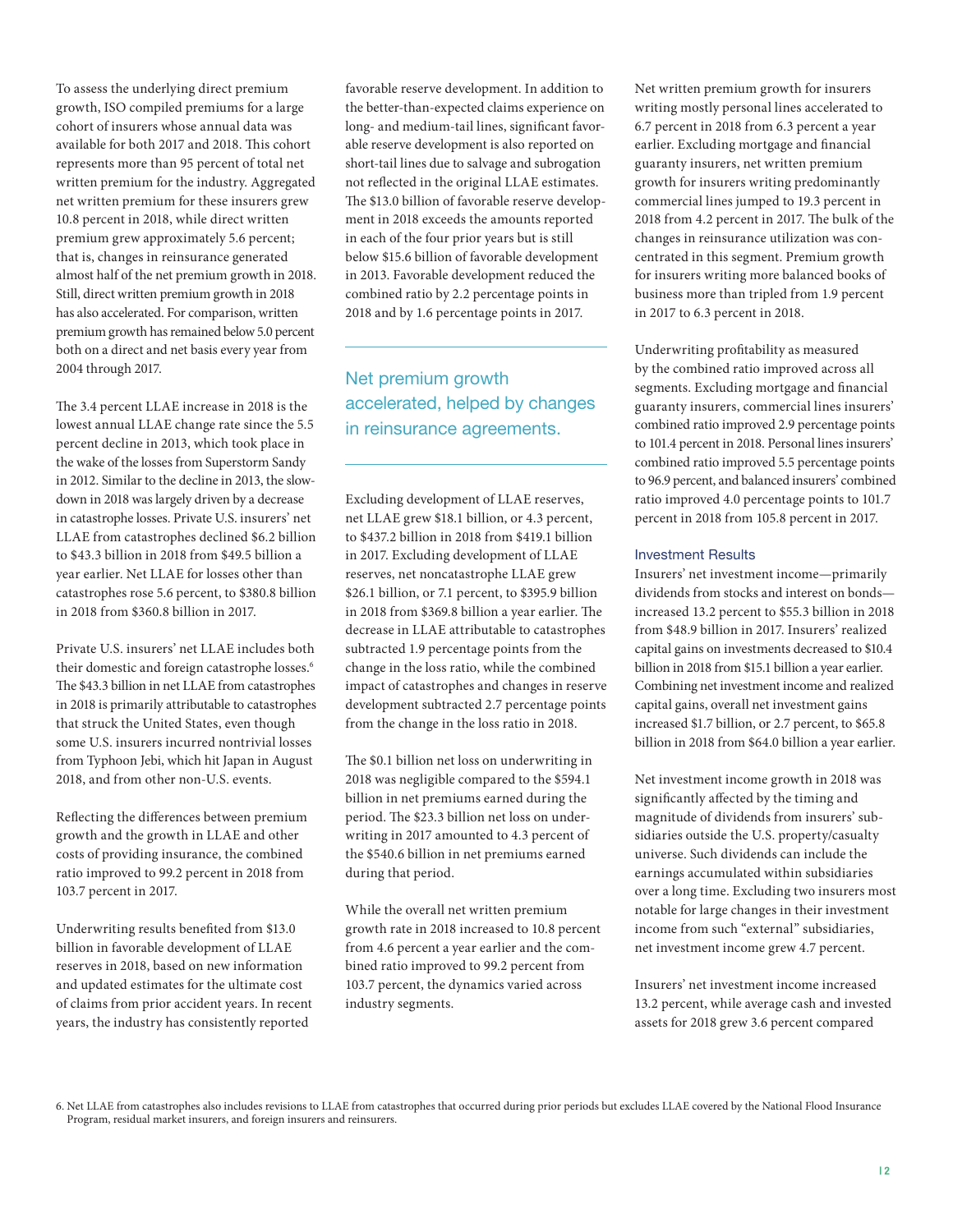To assess the underlying direct premium growth, ISO compiled premiums for a large cohort of insurers whose annual data was available for both 2017 and 2018. This cohort represents more than 95 percent of total net written premium for the industry. Aggregated net written premium for these insurers grew 10.8 percent in 2018, while direct written premium grew approximately 5.6 percent; that is, changes in reinsurance generated almost half of the net premium growth in 2018. Still, direct written premium growth in 2018 has also accelerated. For comparison, written premium growth has remained below 5.0 percent both on a direct and net basis every year from 2004 through 2017.

The 3.4 percent LLAE increase in 2018 is the lowest annual LLAE change rate since the 5.5 percent decline in 2013, which took place in the wake of the losses from Superstorm Sandy in 2012. Similar to the decline in 2013, the slowdown in 2018 was largely driven by a decrease in catastrophe losses. Private U.S. insurers' net LLAE from catastrophes declined \$6.2 billion to \$43.3 billion in 2018 from \$49.5 billion a year earlier. Net LLAE for losses other than catastrophes rose 5.6 percent, to \$380.8 billion in 2018 from \$360.8 billion in 2017.

Private U.S. insurers' net LLAE includes both their domestic and foreign catastrophe losses.<sup>6</sup> The \$43.3 billion in net LLAE from catastrophes in 2018 is primarily attributable to catastrophes that struck the United States, even though some U.S. insurers incurred nontrivial losses from Typhoon Jebi, which hit Japan in August 2018, and from other non-U.S. events.

Reflecting the differences between premium growth and the growth in LLAE and other costs of providing insurance, the combined ratio improved to 99.2 percent in 2018 from 103.7 percent in 2017.

Underwriting results benefited from \$13.0 billion in favorable development of LLAE reserves in 2018, based on new information and updated estimates for the ultimate cost of claims from prior accident years. In recent years, the industry has consistently reported

favorable reserve development. In addition to the better-than-expected claims experience on long- and medium-tail lines, significant favorable reserve development is also reported on short-tail lines due to salvage and subrogation not reflected in the original LLAE estimates. The \$13.0 billion of favorable reserve development in 2018 exceeds the amounts reported in each of the four prior years but is still below \$15.6 billion of favorable development in 2013. Favorable development reduced the combined ratio by 2.2 percentage points in 2018 and by 1.6 percentage points in 2017.

Net premium growth accelerated, helped by changes in reinsurance agreements.

Excluding development of LLAE reserves, net LLAE grew \$18.1 billion, or 4.3 percent, to \$437.2 billion in 2018 from \$419.1 billion in 2017. Excluding development of LLAE reserves, net noncatastrophe LLAE grew \$26.1 billion, or 7.1 percent, to \$395.9 billion in 2018 from \$369.8 billion a year earlier. The decrease in LLAE attributable to catastrophes subtracted 1.9 percentage points from the change in the loss ratio, while the combined impact of catastrophes and changes in reserve development subtracted 2.7 percentage points from the change in the loss ratio in 2018.

The \$0.1 billion net loss on underwriting in 2018 was negligible compared to the \$594.1 billion in net premiums earned during the period. The \$23.3 billion net loss on underwriting in 2017 amounted to 4.3 percent of the \$540.6 billion in net premiums earned during that period.

While the overall net written premium growth rate in 2018 increased to 10.8 percent from 4.6 percent a year earlier and the combined ratio improved to 99.2 percent from 103.7 percent, the dynamics varied across industry segments.

Net written premium growth for insurers writing mostly personal lines accelerated to 6.7 percent in 2018 from 6.3 percent a year earlier. Excluding mortgage and financial guaranty insurers, net written premium growth for insurers writing predominantly commercial lines jumped to 19.3 percent in 2018 from 4.2 percent in 2017. The bulk of the changes in reinsurance utilization was concentrated in this segment. Premium growth for insurers writing more balanced books of business more than tripled from 1.9 percent in 2017 to 6.3 percent in 2018.

Underwriting profitability as measured by the combined ratio improved across all segments. Excluding mortgage and financial guaranty insurers, commercial lines insurers' combined ratio improved 2.9 percentage points to 101.4 percent in 2018. Personal lines insurers' combined ratio improved 5.5 percentage points to 96.9 percent, and balanced insurers' combined ratio improved 4.0 percentage points to 101.7 percent in 2018 from 105.8 percent in 2017.

#### Investment Results

Insurers' net investment income—primarily dividends from stocks and interest on bonds increased 13.2 percent to \$55.3 billion in 2018 from \$48.9 billion in 2017. Insurers' realized capital gains on investments decreased to \$10.4 billion in 2018 from \$15.1 billion a year earlier. Combining net investment income and realized capital gains, overall net investment gains increased \$1.7 billion, or 2.7 percent, to \$65.8 billion in 2018 from \$64.0 billion a year earlier.

Net investment income growth in 2018 was significantly affected by the timing and magnitude of dividends from insurers' subsidiaries outside the U.S. property/casualty universe. Such dividends can include the earnings accumulated within subsidiaries over a long time. Excluding two insurers most notable for large changes in their investment income from such "external" subsidiaries, net investment income grew 4.7 percent.

Insurers' net investment income increased 13.2 percent, while average cash and invested assets for 2018 grew 3.6 percent compared

6. Net LLAE from catastrophes also includes revisions to LLAE from catastrophes that occurred during prior periods but excludes LLAE covered by the National Flood Insurance Program, residual market insurers, and foreign insurers and reinsurers.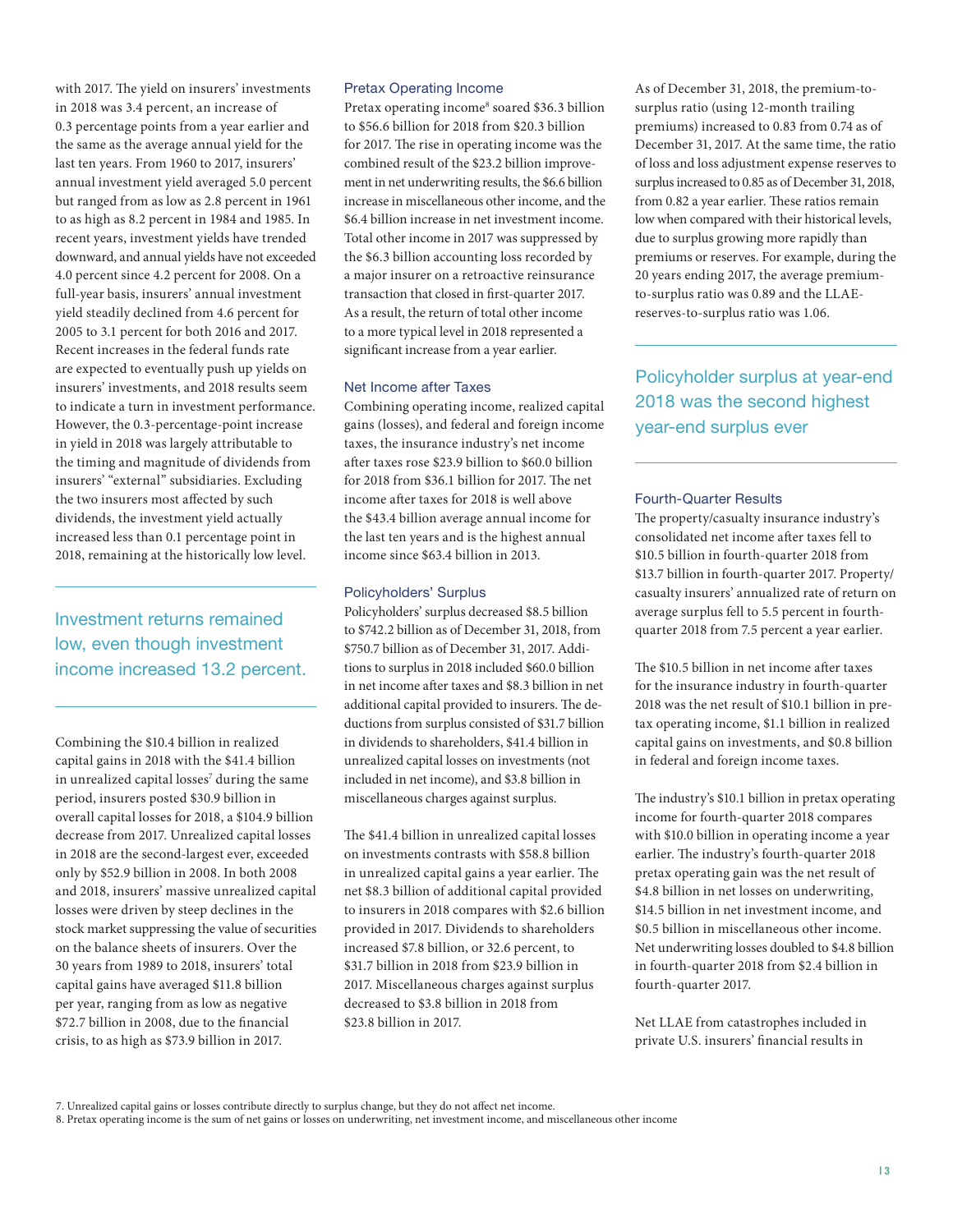with 2017. The yield on insurers' investments in 2018 was 3.4 percent, an increase of 0.3 percentage points from a year earlier and the same as the average annual yield for the last ten years. From 1960 to 2017, insurers' annual investment yield averaged 5.0 percent but ranged from as low as 2.8 percent in 1961 to as high as 8.2 percent in 1984 and 1985. In recent years, investment yields have trended downward, and annual yields have not exceeded 4.0 percent since 4.2 percent for 2008. On a full-year basis, insurers' annual investment yield steadily declined from 4.6 percent for 2005 to 3.1 percent for both 2016 and 2017. Recent increases in the federal funds rate are expected to eventually push up yields on insurers' investments, and 2018 results seem to indicate a turn in investment performance. However, the 0.3-percentage-point increase in yield in 2018 was largely attributable to the timing and magnitude of dividends from insurers' "external" subsidiaries. Excluding the two insurers most affected by such dividends, the investment yield actually increased less than 0.1 percentage point in 2018, remaining at the historically low level.

### Investment returns remained low, even though investment income increased 13.2 percent.

Combining the \$10.4 billion in realized capital gains in 2018 with the \$41.4 billion in unrealized capital losses<sup>7</sup> during the same period, insurers posted \$30.9 billion in overall capital losses for 2018, a \$104.9 billion decrease from 2017. Unrealized capital losses in 2018 are the second-largest ever, exceeded only by \$52.9 billion in 2008. In both 2008 and 2018, insurers' massive unrealized capital losses were driven by steep declines in the stock market suppressing the value of securities on the balance sheets of insurers. Over the 30 years from 1989 to 2018, insurers' total capital gains have averaged \$11.8 billion per year, ranging from as low as negative \$72.7 billion in 2008, due to the financial crisis, to as high as \$73.9 billion in 2017.

#### Pretax Operating Income

Pretax operating income<sup>8</sup> soared \$36.3 billion to \$56.6 billion for 2018 from \$20.3 billion for 2017. The rise in operating income was the combined result of the \$23.2 billion improvement in net underwriting results, the \$6.6 billion increase in miscellaneous other income, and the \$6.4 billion increase in net investment income. Total other income in 2017 was suppressed by the \$6.3 billion accounting loss recorded by a major insurer on a retroactive reinsurance transaction that closed in first-quarter 2017. As a result, the return of total other income to a more typical level in 2018 represented a significant increase from a year earlier.

#### Net Income after Taxes

Combining operating income, realized capital gains (losses), and federal and foreign income taxes, the insurance industry's net income after taxes rose \$23.9 billion to \$60.0 billion for 2018 from \$36.1 billion for 2017. The net income after taxes for 2018 is well above the \$43.4 billion average annual income for the last ten years and is the highest annual income since \$63.4 billion in 2013.

#### Policyholders' Surplus

Policyholders' surplus decreased \$8.5 billion to \$742.2 billion as of December 31, 2018, from \$750.7 billion as of December 31, 2017. Additions to surplus in 2018 included \$60.0 billion in net income after taxes and \$8.3 billion in net additional capital provided to insurers. The deductions from surplus consisted of \$31.7 billion in dividends to shareholders, \$41.4 billion in unrealized capital losses on investments (not included in net income), and \$3.8 billion in miscellaneous charges against surplus.

The \$41.4 billion in unrealized capital losses on investments contrasts with \$58.8 billion in unrealized capital gains a year earlier. The net \$8.3 billion of additional capital provided to insurers in 2018 compares with \$2.6 billion provided in 2017. Dividends to shareholders increased \$7.8 billion, or 32.6 percent, to \$31.7 billion in 2018 from \$23.9 billion in 2017. Miscellaneous charges against surplus decreased to \$3.8 billion in 2018 from \$23.8 billion in 2017.

As of December 31, 2018, the premium-tosurplus ratio (using 12-month trailing premiums) increased to 0.83 from 0.74 as of December 31, 2017. At the same time, the ratio of loss and loss adjustment expense reserves to surplus increased to 0.85 as of December 31, 2018, from 0.82 a year earlier. These ratios remain low when compared with their historical levels, due to surplus growing more rapidly than premiums or reserves. For example, during the 20 years ending 2017, the average premiumto-surplus ratio was 0.89 and the LLAEreserves-to-surplus ratio was 1.06.

Policyholder surplus at year-end 2018 was the second highest year-end surplus ever

#### Fourth-Quarter Results

The property/casualty insurance industry's consolidated net income after taxes fell to \$10.5 billion in fourth-quarter 2018 from \$13.7 billion in fourth-quarter 2017. Property/ casualty insurers' annualized rate of return on average surplus fell to 5.5 percent in fourthquarter 2018 from 7.5 percent a year earlier.

The \$10.5 billion in net income after taxes for the insurance industry in fourth-quarter 2018 was the net result of \$10.1 billion in pretax operating income, \$1.1 billion in realized capital gains on investments, and \$0.8 billion in federal and foreign income taxes.

The industry's \$10.1 billion in pretax operating income for fourth-quarter 2018 compares with \$10.0 billion in operating income a year earlier. The industry's fourth-quarter 2018 pretax operating gain was the net result of \$4.8 billion in net losses on underwriting, \$14.5 billion in net investment income, and \$0.5 billion in miscellaneous other income. Net underwriting losses doubled to \$4.8 billion in fourth-quarter 2018 from \$2.4 billion in fourth-quarter 2017.

Net LLAE from catastrophes included in private U.S. insurers' financial results in

7. Unrealized capital gains or losses contribute directly to surplus change, but they do not affect net income.

<sup>8.</sup> Pretax operating income is the sum of net gains or losses on underwriting, net investment income, and miscellaneous other income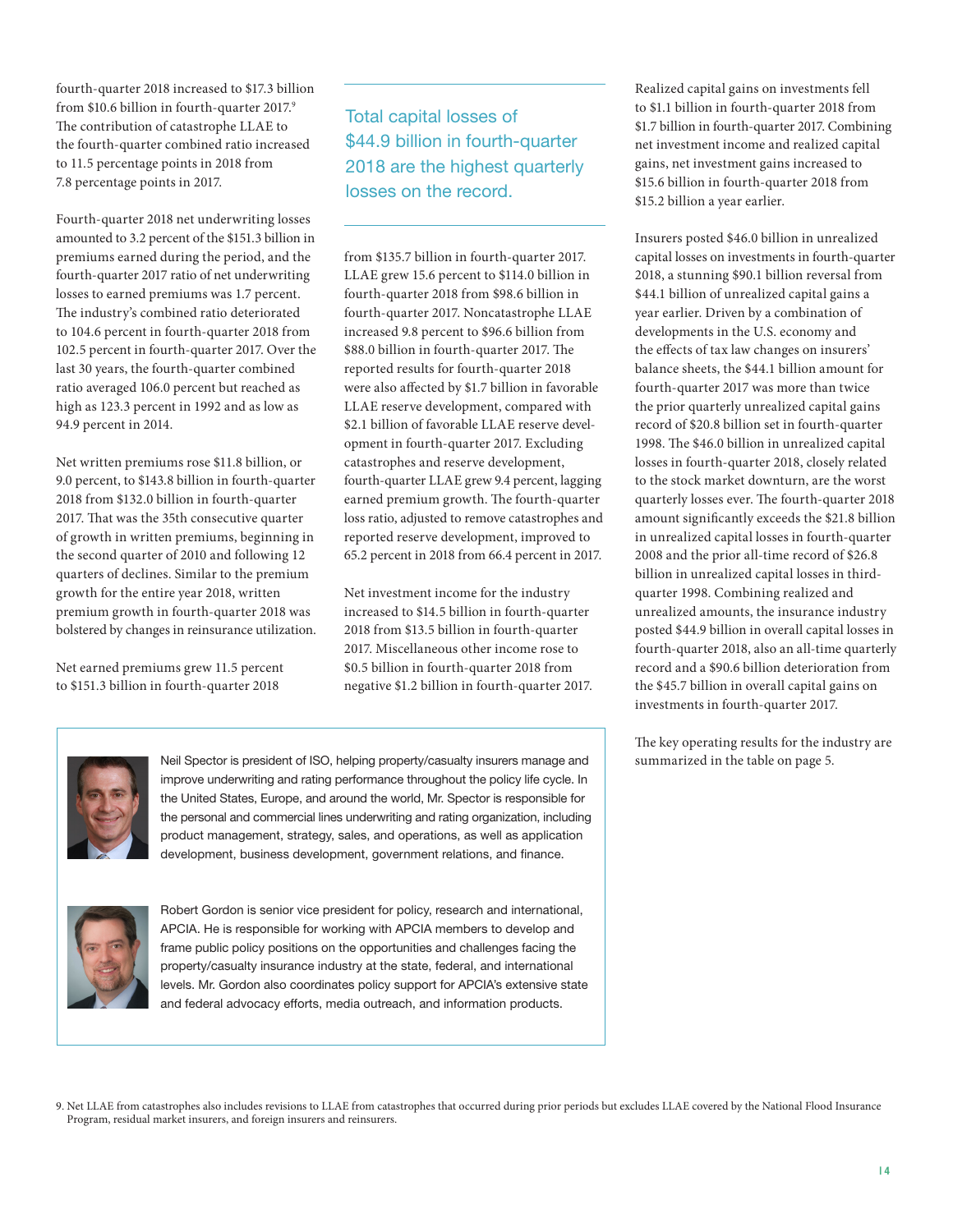fourth-quarter 2018 increased to \$17.3 billion from \$10.6 billion in fourth-quarter 2017.9 The contribution of catastrophe LLAE to the fourth-quarter combined ratio increased to 11.5 percentage points in 2018 from 7.8 percentage points in 2017.

Fourth-quarter 2018 net underwriting losses amounted to 3.2 percent of the \$151.3 billion in premiums earned during the period, and the fourth-quarter 2017 ratio of net underwriting losses to earned premiums was 1.7 percent. The industry's combined ratio deteriorated to 104.6 percent in fourth-quarter 2018 from 102.5 percent in fourth-quarter 2017. Over the last 30 years, the fourth-quarter combined ratio averaged 106.0 percent but reached as high as 123.3 percent in 1992 and as low as 94.9 percent in 2014.

Net written premiums rose \$11.8 billion, or 9.0 percent, to \$143.8 billion in fourth-quarter 2018 from \$132.0 billion in fourth-quarter 2017. That was the 35th consecutive quarter of growth in written premiums, beginning in the second quarter of 2010 and following 12 quarters of declines. Similar to the premium growth for the entire year 2018, written premium growth in fourth-quarter 2018 was bolstered by changes in reinsurance utilization.

Net earned premiums grew 11.5 percent to \$151.3 billion in fourth-quarter 2018

Total capital losses of \$44.9 billion in fourth-quarter 2018 are the highest quarterly losses on the record.

from \$135.7 billion in fourth-quarter 2017. LLAE grew 15.6 percent to \$114.0 billion in fourth-quarter 2018 from \$98.6 billion in fourth-quarter 2017. Noncatastrophe LLAE increased 9.8 percent to \$96.6 billion from \$88.0 billion in fourth-quarter 2017. The reported results for fourth-quarter 2018 were also affected by \$1.7 billion in favorable LLAE reserve development, compared with \$2.1 billion of favorable LLAE reserve development in fourth-quarter 2017. Excluding catastrophes and reserve development, fourth-quarter LLAE grew 9.4 percent, lagging earned premium growth. The fourth-quarter loss ratio, adjusted to remove catastrophes and reported reserve development, improved to 65.2 percent in 2018 from 66.4 percent in 2017.

Net investment income for the industry increased to \$14.5 billion in fourth-quarter 2018 from \$13.5 billion in fourth-quarter 2017. Miscellaneous other income rose to \$0.5 billion in fourth-quarter 2018 from negative \$1.2 billion in fourth-quarter 2017.



Neil Spector is president of ISO, helping property/casualty insurers manage and improve underwriting and rating performance throughout the policy life cycle. In the United States, Europe, and around the world, Mr. Spector is responsible for the personal and commercial lines underwriting and rating organization, including product management, strategy, sales, and operations, as well as application development, business development, government relations, and finance.



Robert Gordon is senior vice president for policy, research and international, APCIA. He is responsible for working with APCIA members to develop and frame public policy positions on the opportunities and challenges facing the property/casualty insurance industry at the state, federal, and international levels. Mr. Gordon also coordinates policy support for APCIA's extensive state and federal advocacy efforts, media outreach, and information products.

Realized capital gains on investments fell to \$1.1 billion in fourth-quarter 2018 from \$1.7 billion in fourth-quarter 2017. Combining net investment income and realized capital gains, net investment gains increased to \$15.6 billion in fourth-quarter 2018 from \$15.2 billion a year earlier.

Insurers posted \$46.0 billion in unrealized capital losses on investments in fourth-quarter 2018, a stunning \$90.1 billion reversal from \$44.1 billion of unrealized capital gains a year earlier. Driven by a combination of developments in the U.S. economy and the effects of tax law changes on insurers' balance sheets, the \$44.1 billion amount for fourth-quarter 2017 was more than twice the prior quarterly unrealized capital gains record of \$20.8 billion set in fourth-quarter 1998. The \$46.0 billion in unrealized capital losses in fourth-quarter 2018, closely related to the stock market downturn, are the worst quarterly losses ever. The fourth-quarter 2018 amount significantly exceeds the \$21.8 billion in unrealized capital losses in fourth-quarter 2008 and the prior all-time record of \$26.8 billion in unrealized capital losses in thirdquarter 1998. Combining realized and unrealized amounts, the insurance industry posted \$44.9 billion in overall capital losses in fourth-quarter 2018, also an all-time quarterly record and a \$90.6 billion deterioration from the \$45.7 billion in overall capital gains on investments in fourth-quarter 2017.

The key operating results for the industry are summarized in the table on page 5.

<sup>9.</sup> Net LLAE from catastrophes also includes revisions to LLAE from catastrophes that occurred during prior periods but excludes LLAE covered by the National Flood Insurance Program, residual market insurers, and foreign insurers and reinsurers.